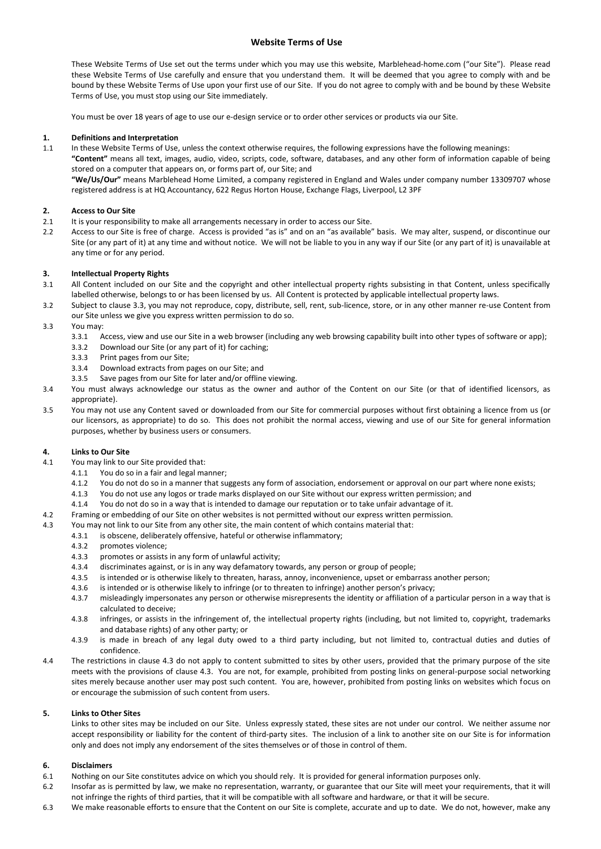# **Website Terms of Use**

These Website Terms of Use set out the terms under which you may use this website, Marblehead-home.com ("our Site"). Please read these Website Terms of Use carefully and ensure that you understand them. It will be deemed that you agree to comply with and be bound by these Website Terms of Use upon your first use of our Site. If you do not agree to comply with and be bound by these Website Terms of Use, you must stop using our Site immediately.

You must be over 18 years of age to use our e-design service or to order other services or products via our Site.

# **1. Definitions and Interpretation**

1.1 In these Website Terms of Use, unless the context otherwise requires, the following expressions have the following meanings: **"Content"** means all text, images, audio, video, scripts, code, software, databases, and any other form of information capable of being stored on a computer that appears on, or forms part of, our Site; and **"We/Us/Our"** means Marblehead Home Limited, a company registered in England and Wales under company number 13309707 whose registered address is at HQ Accountancy, 622 Regus Horton House, Exchange Flags, Liverpool, L2 3PF

# **2. Access to Our Site**

- 2.1 It is your responsibility to make all arrangements necessary in order to access our Site.
- 2.2 Access to our Site is free of charge. Access is provided "as is" and on an "as available" basis. We may alter, suspend, or discontinue our Site (or any part of it) at any time and without notice. We will not be liable to you in any way if our Site (or any part of it) is unavailable at any time or for any period.

# **3. Intellectual Property Rights**

- 3.1 All Content included on our Site and the copyright and other intellectual property rights subsisting in that Content, unless specifically labelled otherwise, belongs to or has been licensed by us. All Content is protected by applicable intellectual property laws.
- 3.2 Subject to clause 3.3, you may not reproduce, copy, distribute, sell, rent, sub-licence, store, or in any other manner re-use Content from our Site unless we give you express written permission to do so.
- 3.3 You may:
	- 3.3.1 Access, view and use our Site in a web browser (including any web browsing capability built into other types of software or app);
	- 3.3.2 Download our Site (or any part of it) for caching;
	- 3.3.3 Print pages from our Site;
	- 3.3.4 Download extracts from pages on our Site; and
	- 3.3.5 Save pages from our Site for later and/or offline viewing.
- 3.4 You must always acknowledge our status as the owner and author of the Content on our Site (or that of identified licensors, as appropriate).
- 3.5 You may not use any Content saved or downloaded from our Site for commercial purposes without first obtaining a licence from us (or our licensors, as appropriate) to do so. This does not prohibit the normal access, viewing and use of our Site for general information purposes, whether by business users or consumers.

## **4. Links to Our Site**

- 4.1 You may link to our Site provided that:
	- 4.1.1 You do so in a fair and legal manner;
	- 4.1.2 You do not do so in a manner that suggests any form of association, endorsement or approval on our part where none exists;
	- 4.1.3 You do not use any logos or trade marks displayed on our Site without our express written permission; and
	- 4.1.4 You do not do so in a way that is intended to damage our reputation or to take unfair advantage of it.
- 4.2 Framing or embedding of our Site on other websites is not permitted without our express written permission.
- 4.3 You may not link to our Site from any other site, the main content of which contains material that:
	- 4.3.1 is obscene, deliberately offensive, hateful or otherwise inflammatory;
	- 4.3.2 promotes violence;
	- 4.3.3 promotes or assists in any form of unlawful activity;
	- 4.3.4 discriminates against, or is in any way defamatory towards, any person or group of people;
	- 4.3.5 is intended or is otherwise likely to threaten, harass, annoy, inconvenience, upset or embarrass another person;
	- 4.3.6 is intended or is otherwise likely to infringe (or to threaten to infringe) another person's privacy;
	- 4.3.7 misleadingly impersonates any person or otherwise misrepresents the identity or affiliation of a particular person in a way that is calculated to deceive;
	- 4.3.8 infringes, or assists in the infringement of, the intellectual property rights (including, but not limited to, copyright, trademarks and database rights) of any other party; or
	- 4.3.9 is made in breach of any legal duty owed to a third party including, but not limited to, contractual duties and duties of confidence.
- 4.4 The restrictions in clause 4.3 do not apply to content submitted to sites by other users, provided that the primary purpose of the site meets with the provisions of clause 4.3. You are not, for example, prohibited from posting links on general-purpose social networking sites merely because another user may post such content. You are, however, prohibited from posting links on websites which focus on or encourage the submission of such content from users.

## **5. Links to Other Sites**

Links to other sites may be included on our Site. Unless expressly stated, these sites are not under our control. We neither assume nor accept responsibility or liability for the content of third-party sites. The inclusion of a link to another site on our Site is for information only and does not imply any endorsement of the sites themselves or of those in control of them.

## **6. Disclaimers**

- 6.1 Nothing on our Site constitutes advice on which you should rely. It is provided for general information purposes only.
- 6.2 Insofar as is permitted by law, we make no representation, warranty, or guarantee that our Site will meet your requirements, that it will not infringe the rights of third parties, that it will be compatible with all software and hardware, or that it will be secure.
- 6.3 We make reasonable efforts to ensure that the Content on our Site is complete, accurate and up to date. We do not, however, make any